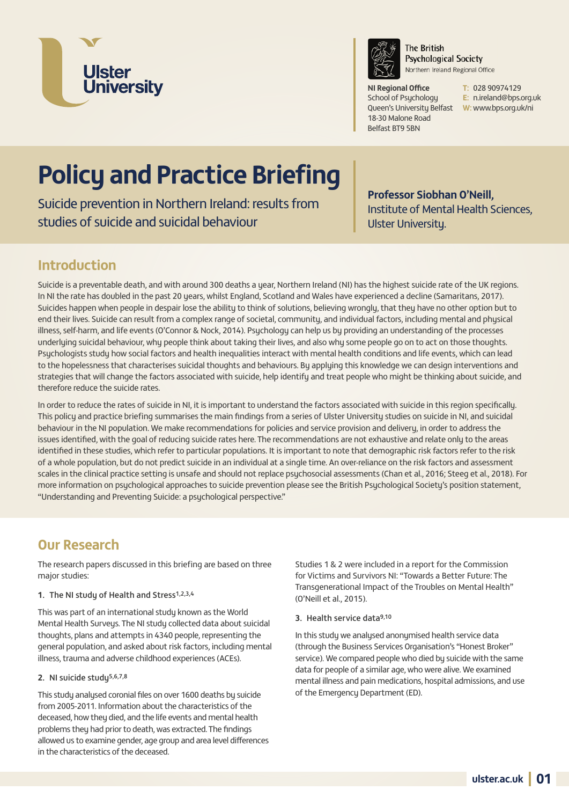



**The British Psychological Society** Northern Ireland Regional Office

**NI Regional Office** School of Psychology Queen's University Belfast **W:** www.bps.org.uk/ni 18-30 Malone Road Belfast BT9 5BN

**T:** 028 90974129 **E:** n.ireland@bps.org.uk

# **Policy and Practice Briefing**

Suicide prevention in Northern Ireland: results from studies of suicide and suicidal behaviour

**Professor Siobhan O'Neill,** Institute of Mental Health Sciences, Ulster University.

# **Introduction**

Suicide is a preventable death, and with around 300 deaths a year, Northern Ireland (NI) has the highest suicide rate of the UK regions. In NI the rate has doubled in the past 20 years, whilst England, Scotland and Wales have experienced a decline (Samaritans, 2017). Suicides happen when people in despair lose the ability to think of solutions, believing wrongly, that they have no other option but to end their lives. Suicide can result from a complex range of societal, community, and individual factors, including mental and physical illness, self-harm, and life events (O'Connor & Nock, 2014). Psychology can help us by providing an understanding of the processes underlying suicidal behaviour, why people think about taking their lives, and also why some people go on to act on those thoughts. Psychologists study how social factors and health inequalities interact with mental health conditions and life events, which can lead to the hopelessness that characterises suicidal thoughts and behaviours. By applying this knowledge we can design interventions and strategies that will change the factors associated with suicide, help identify and treat people who might be thinking about suicide, and therefore reduce the suicide rates.

In order to reduce the rates of suicide in NI, it is important to understand the factors associated with suicide in this region specifically. This policy and practice briefing summarises the main findings from a series of Ulster University studies on suicide in NI, and suicidal behaviour in the NI population. We make recommendations for policies and service provision and delivery, in order to address the issues identified, with the goal of reducing suicide rates here. The recommendations are not exhaustive and relate only to the areas identified in these studies, which refer to particular populations. It is important to note that demographic risk factors refer to the risk of a whole population, but do not predict suicide in an individual at a single time. An over-reliance on the risk factors and assessment scales in the clinical practice setting is unsafe and should not replace psychosocial assessments (Chan et al., 2016; Steeg et al., 2018). For more information on psychological approaches to suicide prevention please see the British Psychological Society's position statement, "Understanding and Preventing Suicide: a psychological perspective."

# **Our Research**

The research papers discussed in this briefing are based on three major studies:

#### **1.** The NI study of Health and Stress1,2,3,4

This was part of an international study known as the World Mental Health Surveys. The NI study collected data about suicidal thoughts, plans and attempts in 4340 people, representing the general population, and asked about risk factors, including mental illness, trauma and adverse childhood experiences (ACEs).

#### 2. NI suicide study<sup>5,6,7,8</sup>

This study analysed coronial files on over 1600 deaths by suicide from 2005-2011. Information about the characteristics of the deceased, how they died, and the life events and mental health problems they had prior to death, was extracted. The findings allowed us to examine gender, age group and area level differences in the characteristics of the deceased.

Studies 1 & 2 were included in a report for the Commission for Victims and Survivors NI: "Towards a Better Future: The Transgenerational Impact of the Troubles on Mental Health" (O'Neill et al., 2015).

#### **3.** Health service data9,10

In this studu we analysed anonymised health service data (through the Business Services Organisation's "Honest Broker" service). We compared people who died by suicide with the same data for people of a similar age, who were alive. We examined mental illness and pain medications, hospital admissions, and use of the Emergency Department (ED).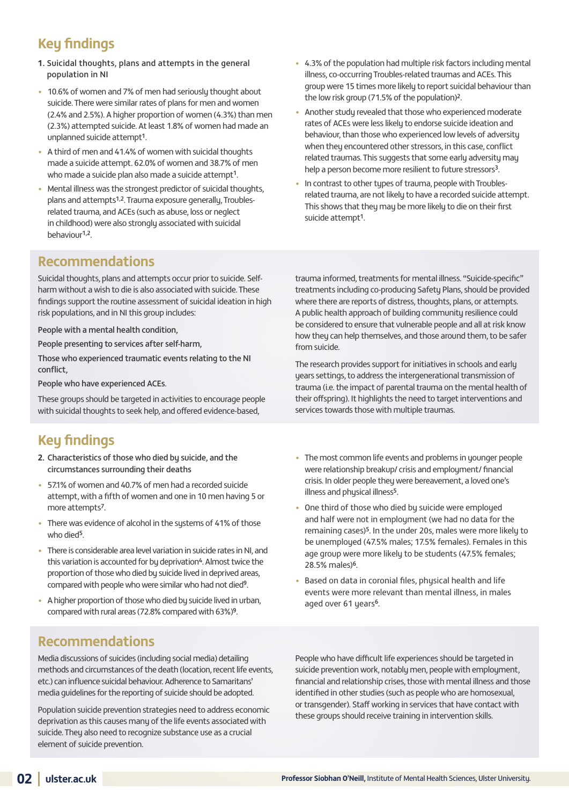# **Key findings**

- **1.** Suicidal thoughts, plans and attempts in the general population in NI
- 10.6% of women and 7% of men had seriously thought about suicide. There were similar rates of plans for men and women (2.4% and 2.5%). A higher proportion of women (4.3%) than men (2.3%) attempted suicide. At least 1.8% of women had made an unplanned suicide attempt1.
- A third of men and 41.4% of women with suicidal thoughts made a suicide attempt. 62.0% of women and 38.7% of men who made a suicide plan also made a suicide attempt<sup>1</sup>.
- Mental illness was the strongest predictor of suicidal thoughts, plans and attempts1,2. Trauma exposure generally, Troublesrelated trauma, and ACEs (such as abuse, loss or neglect in childhood) were also strongly associated with suicidal behaviour1,2.
- 4.3% of the population had multiple risk factors including mental illness, co-occurring Troubles-related traumas and ACEs. This group were 15 times more likely to report suicidal behaviour than the low risk group (71.5% of the population)2.
- Another studu revealed that those who experienced moderate rates of ACEs were less likely to endorse suicide ideation and behaviour, than those who experienced low levels of adversity when they encountered other stressors, in this case, conflict related traumas. This suggests that some early adversity may help a person become more resilient to future stressors<sup>3</sup>.
- In contrast to other types of trauma, people with Troublesrelated trauma, are not likely to have a recorded suicide attempt. This shows that they may be more likely to die on their first suicide attempt1.

### **Recommendations**

Suicidal thoughts, plans and attempts occur prior to suicide. Selfharm without a wish to die is also associated with suicide. These findings support the routine assessment of suicidal ideation in high risk populations, and in NI this group includes:

People with a mental health condition,

People presenting to services after self-harm,

Those who experienced traumatic events relating to the NI conflict,

People who have experienced ACEs.

These groups should be targeted in activities to encourage people with suicidal thoughts to seek help, and offered evidence-based,

# **Key findings**

- **2.** Characteristics of those who died by suicide, and the circumstances surrounding their deaths
- 57.1% of women and 40.7% of men had a recorded suicide attempt, with a fifth of women and one in 10 men having 5 or more attempts7.
- There was evidence of alcohol in the systems of 41% of those who died<sup>5</sup>
- There is considerable area level variation in suicide rates in NI, and this variation is accounted for by deprivation<sup>4</sup>. Almost twice the proportion of those who died by suicide lived in deprived areas, compared with people who were similar who had not died9.
- A higher proportion of those who died by suicide lived in urban, compared with rural areas (72.8% compared with 63%)9.

### **Recommendations**

Media discussions of suicides (including social media) detailing methods and circumstances of the death (location, recent life events, etc.) can influence suicidal behaviour. Adherence to Samaritans' media guidelines for the reporting of suicide should be adopted.

Population suicide prevention strategies need to address economic deprivation as this causes many of the life events associated with suicide. They also need to recognize substance use as a crucial element of suicide prevention.

trauma informed, treatments for mental illness. "Suicide-specific" treatments including co-producing Safety Plans, should be provided where there are reports of distress, thoughts, plans, or attempts. A public health approach of building community resilience could be considered to ensure that vulnerable people and all at risk know how they can help themselves, and those around them, to be safer from suicide.

The research provides support for initiatives in schools and early years settings, to address the intergenerational transmission of trauma (i.e. the impact of parental trauma on the mental health of their offspring). It highlights the need to target interventions and services towards those with multiple traumas.

- The most common life events and problems in younger people were relationship breakup/ crisis and employment/ financial crisis. In older people they were bereavement, a loved one's illness and physical illness<sup>5</sup>.
- One third of those who died by suicide were employed and half were not in employment (we had no data for the remaining cases)<sup>5</sup>. In the under 20s, males were more likely to be unemployed (47.5% males; 17.5% females). Females in this age group were more likely to be students (47.5% females; 28.5% males)6.
- Based on data in coronial files, physical health and life events were more relevant than mental illness, in males aged over 61 years<sup>6</sup>.

People who have difficult life experiences should be targeted in suicide prevention work, notably men, people with employment, financial and relationship crises, those with mental illness and those identified in other studies (such as people who are homosexual, or transgender). Staff working in services that have contact with these groups should receive training in intervention skills.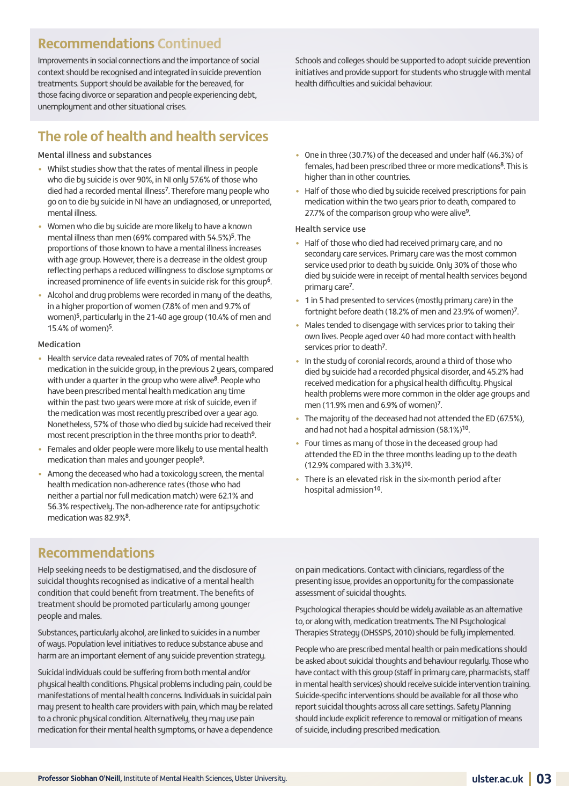### **Recommendations Continued**

Improvements in social connections and the importance of social context should be recognised and integrated in suicide prevention treatments. Support should be available for the bereaved, for those facing divorce or separation and people experiencing debt, unemployment and other situational crises.

# **The role of health and health services**

#### Mental illness and substances

- Whilst studies show that the rates of mental illness in people who die by suicide is over 90%, in NI only 57.6% of those who died had a recorded mental illness<sup>7</sup>. Therefore many people who go on to die by suicide in NI have an undiagnosed, or unreported, mental illness.
- Women who die by suicide are more likely to have a known mental illness than men (69% compared with 54.5%)5. The proportions of those known to have a mental illness increases with age group. However, there is a decrease in the oldest group reflecting perhaps a reduced willingness to disclose symptoms or increased prominence of life events in suicide risk for this group<sup>6</sup>.
- Alcohol and drug problems were recorded in many of the deaths, in a higher proportion of women (7.8% of men and 9.7% of women)5, particularly in the 21-40 age group (10.4% of men and 15.4% of women)5.

#### Medication

- Health service data revealed rates of 70% of mental health medication in the suicide group, in the previous 2 years, compared with under a quarter in the group who were alive<sup>8</sup>. People who have been prescribed mental health medication any time within the past two years were more at risk of suicide, even if the medication was most recently prescribed over a year ago. Nonetheless, 57% of those who died by suicide had received their most recent prescription in the three months prior to death9.
- Females and older people were more likely to use mental health medication than males and younger people9.
- Among the deceased who had a toxicology screen, the mental health medication non-adherence rates (those who had neither a partial nor full medication match) were 62.1% and 56.3% respectively. The non-adherence rate for antipsychotic medication was 82.9%<sup>8</sup>.

Schools and colleges should be supported to adopt suicide prevention initiatives and provide support for students who struggle with mental health difficulties and suicidal behaviour.

- One in three (30.7%) of the deceased and under half (46.3%) of females, had been prescribed three or more medications<sup>8</sup>. This is higher than in other countries.
- Half of those who died bu suicide received prescriptions for pain medication within the two years prior to death, compared to 27.7% of the comparison group who were alive9.

#### Health service use

- Half of those who died had received primary care, and no secondary care services. Primary care was the most common service used prior to death by suicide. Only 30% of those who died by suicide were in receipt of mental health services beyond primary care7.
- 1 in 5 had presented to services (mostly primary care) in the fortnight before death (18.2% of men and 23.9% of women)7.
- Males tended to disengage with services prior to taking their own lives. People aged over 40 had more contact with health services prior to death<sup>7</sup>.
- In the study of coronial records, around a third of those who died by suicide had a recorded physical disorder, and 45.2% had received medication for a physical health difficulty. Physical health problems were more common in the older age groups and men (11.9% men and 6.9% of women)<sup>7</sup>.
- The majority of the deceased had not attended the ED (67.5%). and had not had a hospital admission (58.1%)10.
- Four times as many of those in the deceased group had attended the ED in the three months leading up to the death (12.9% compared with 3.3%)10.
- There is an elevated risk in the six-month period after hospital admission<sup>10</sup>.

### **Recommendations**

Help seeking needs to be destigmatised, and the disclosure of suicidal thoughts recognised as indicative of a mental health condition that could benefit from treatment. The benefits of treatment should be promoted particularly among younger people and males.

Substances, particularly alcohol, are linked to suicides in a number of ways. Population level initiatives to reduce substance abuse and harm are an important element of any suicide prevention strategy.

Suicidal individuals could be suffering from both mental and/or physical health conditions. Physical problems including pain, could be manifestations of mental health concerns. Individuals in suicidal pain may present to health care providers with pain, which may be related to a chronic phusical condition. Alternatively, they may use pain medication for their mental health sumptoms, or have a dependence on pain medications. Contact with clinicians, regardless of the presenting issue, provides an opportunity for the compassionate assessment of suicidal thoughts.

Psychological therapies should be widely available as an alternative to, or along with, medication treatments. The NI Psychological Therapies Strategy (DHSSPS, 2010) should be fully implemented.

People who are prescribed mental health or pain medications should be asked about suicidal thoughts and behaviour regularly. Those who have contact with this group (staff in primary care, pharmacists, staff in mental health services) should receive suicide intervention training. Suicide-specific interventions should be available for all those who report suicidal thoughts across all care settings. Safety Planning should include explicit reference to removal or mitigation of means of suicide, including prescribed medication.